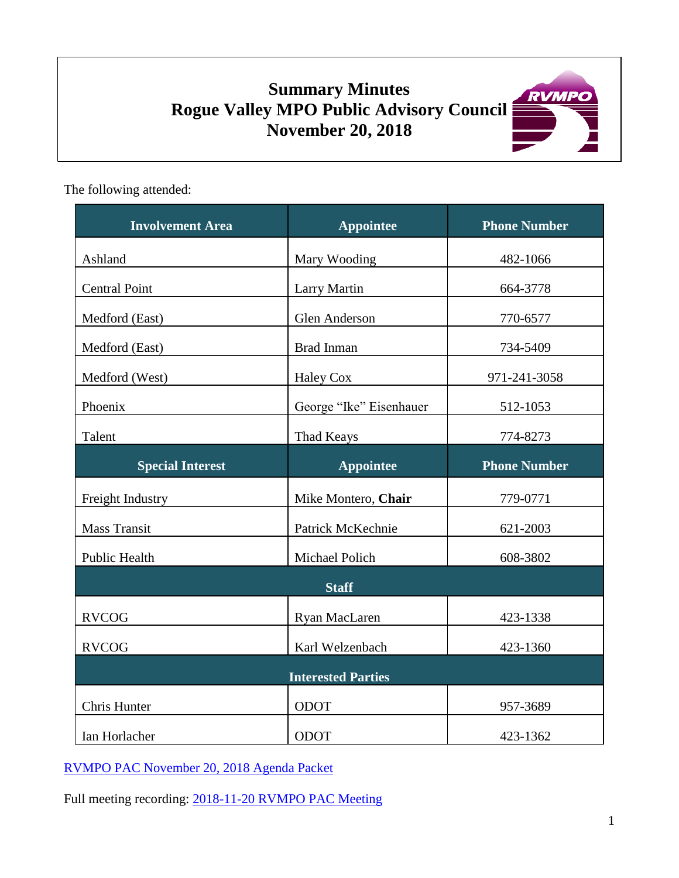# **Summary Minutes Rogue Valley MPO Public Advisory Council November 20, 2018**



The following attended:

| <b>Involvement Area</b> | <b>Appointee</b>          | <b>Phone Number</b> |
|-------------------------|---------------------------|---------------------|
| Ashland                 | Mary Wooding              | 482-1066            |
| <b>Central Point</b>    | Larry Martin              | 664-3778            |
| Medford (East)          | Glen Anderson             | 770-6577            |
| Medford (East)          | <b>Brad Inman</b>         | 734-5409            |
| Medford (West)          | Haley Cox                 | 971-241-3058        |
| Phoenix                 | George "Ike" Eisenhauer   | 512-1053            |
| Talent                  | Thad Keays                | 774-8273            |
| <b>Special Interest</b> | <b>Appointee</b>          | <b>Phone Number</b> |
| Freight Industry        | Mike Montero, Chair       | 779-0771            |
| <b>Mass Transit</b>     | Patrick McKechnie         | 621-2003            |
| Public Health           | Michael Polich            | 608-3802            |
|                         | <b>Staff</b>              |                     |
| <b>RVCOG</b>            | Ryan MacLaren             | 423-1338            |
| <b>RVCOG</b>            | Karl Welzenbach           | 423-1360            |
|                         | <b>Interested Parties</b> |                     |
| Chris Hunter            | ODOT                      | 957-3689            |
| Ian Horlacher           | <b>ODOT</b>               | 423-1362            |

[RVMPO PAC November 20, 2018 Agenda Packet](https://rvmpo.org/images/committees/public-advisory-council/2018/Agenda_Packets/2018-11-20_RVMPO_PAC_Agenda.pdf)

Full meeting recording: 2018-11-20 [RVMPO PAC Meeting](https://rvmpo.org/images/committees/public-advisory-council/2018/Audio_Files/2018-11-20_RVMPO%20PAC_AudacityFinal.mp3)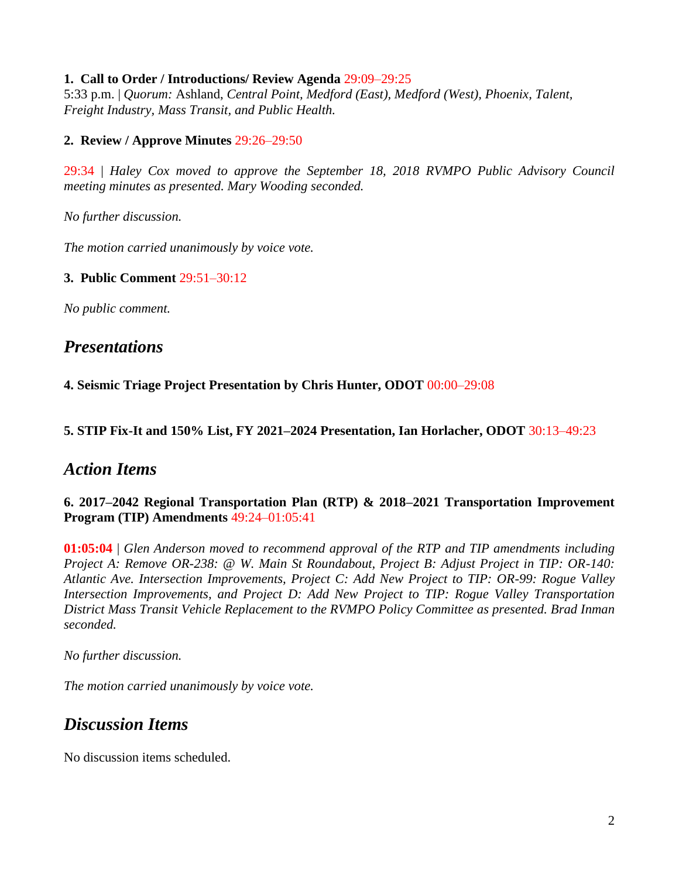#### **1. Call to Order / Introductions/ Review Agenda** 29:09–29:25

5:33 p.m. | *Quorum:* Ashland, *Central Point, Medford (East), Medford (West), Phoenix, Talent, Freight Industry, Mass Transit, and Public Health.* 

#### **2. Review / Approve Minutes** 29:26–29:50

29:34 | *Haley Cox moved to approve the September 18, 2018 RVMPO Public Advisory Council meeting minutes as presented. Mary Wooding seconded.*

*No further discussion.*

*The motion carried unanimously by voice vote.*

#### **3. Public Comment** 29:51–30:12

*No public comment.* 

## *Presentations*

**4. Seismic Triage Project Presentation by Chris Hunter, ODOT** 00:00–29:08

#### **5. STIP Fix-It and 150% List, FY 2021–2024 Presentation, Ian Horlacher, ODOT** 30:13–49:23

## *Action Items*

#### **6. 2017–2042 Regional Transportation Plan (RTP) & 2018–2021 Transportation Improvement Program (TIP) Amendments** 49:24–01:05:41

**01:05:04** | *Glen Anderson moved to recommend approval of the RTP and TIP amendments including Project A: Remove OR-238: @ W. Main St Roundabout, Project B: Adjust Project in TIP: OR-140: Atlantic Ave. Intersection Improvements, Project C: Add New Project to TIP: OR-99: Rogue Valley Intersection Improvements, and Project D: Add New Project to TIP: Rogue Valley Transportation District Mass Transit Vehicle Replacement to the RVMPO Policy Committee as presented. Brad Inman seconded.*

*No further discussion.*

*The motion carried unanimously by voice vote.*

# *Discussion Items*

No discussion items scheduled.